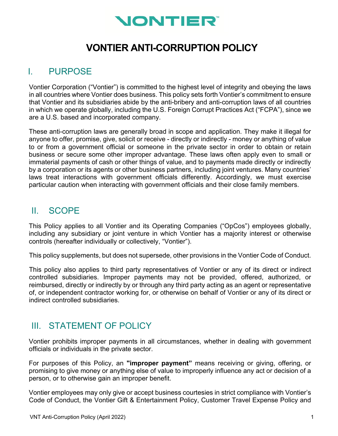

## **VONTIER ANTI-CORRUPTION POLICY**

#### I. PURPOSE

Vontier Corporation ("Vontier") is committed to the highest level of integrity and obeying the laws in all countries where Vontier does business. This policy sets forth Vontier's commitment to ensure that Vontier and its subsidiaries abide by the anti-bribery and anti-corruption laws of all countries in which we operate globally, including the U.S. Foreign Corrupt Practices Act ("FCPA"), since we are a U.S. based and incorporated company.

These anti-corruption laws are generally broad in scope and application. They make it illegal for anyone to offer, promise, give, solicit or receive - directly or indirectly - money or anything of value to or from a government official or someone in the private sector in order to obtain or retain business or secure some other improper advantage. These laws often apply even to small or immaterial payments of cash or other things of value, and to payments made directly or indirectly by a corporation or its agents or other business partners, including joint ventures. Many countries' laws treat interactions with government officials differently. Accordingly, we must exercise particular caution when interacting with government officials and their close family members.

## II. SCOPE

This Policy applies to all Vontier and its Operating Companies ("OpCos") employees globally, including any subsidiary or joint venture in which Vontier has a majority interest or otherwise controls (hereafter individually or collectively, "Vontier").

This policy supplements, but does not supersede, other provisions in the Vontier Code of Conduct.

This policy also applies to third party representatives of Vontier or any of its direct or indirect controlled subsidiaries. Improper payments may not be provided, offered, authorized, or reimbursed, directly or indirectly by or through any third party acting as an agent or representative of, or independent contractor working for, or otherwise on behalf of Vontier or any of its direct or indirect controlled subsidiaries.

#### III. STATEMENT OF POLICY

Vontier prohibits improper payments in all circumstances, whether in dealing with government officials or individuals in the private sector.

For purposes of this Policy, an **"improper payment"** means receiving or giving, offering, or promising to give money or anything else of value to improperly influence any act or decision of a person, or to otherwise gain an improper benefit.

Vontier employees may only give or accept business courtesies in strict compliance with Vontier's Code of Conduct, the Vontier Gift & Entertainment Policy, Customer Travel Expense Policy and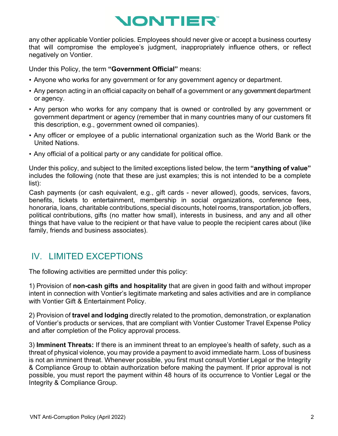# **NONTIER**

any other applicable Vontier policies. Employees should never give or accept a business courtesy that will compromise the employee's judgment, inappropriately influence others, or reflect negatively on Vontier.

Under this Policy, the term **"Government Official"** means:

- Anyone who works for any government or for any government agency or department.
- Any person acting in an official capacity on behalf of a government or any government department or agency.
- Any person who works for any company that is owned or controlled by any government or government department or agency (remember that in many countries many of our customers fit this description, e.g., government owned oil companies).
- Any officer or employee of a public international organization such as the World Bank or the United Nations.
- Any official of a political party or any candidate for political office.

Under this policy, and subject to the limited exceptions listed below, the term **"anything of value"** includes the following (note that these are just examples; this is not intended to be a complete list):

Cash payments (or cash equivalent, e.g., gift cards - never allowed), goods, services, favors, benefits, tickets to entertainment, membership in social organizations, conference fees, honoraria, loans, charitable contributions, special discounts, hotel rooms, transportation, job offers, political contributions, gifts (no matter how small), interests in business, and any and all other things that have value to the recipient or that have value to people the recipient cares about (like family, friends and business associates).

## IV. LIMITED EXCEPTIONS

The following activities are permitted under this policy:

1) Provision of **non-cash gifts and hospitality** that are given in good faith and without improper intent in connection with Vontier's legitimate marketing and sales activities and are in compliance with Vontier Gift & Entertainment Policy.

2) Provision of **travel and lodging** directly related to the promotion, demonstration, or explanation of Vontier's products or services, that are compliant with Vontier Customer Travel Expense Policy and after completion of the Policy approval process.

3) **Imminent Threats:** If there is an imminent threat to an employee's health of safety, such as a threat of physical violence, you may provide a payment to avoid immediate harm. Loss of business is not an imminent threat. Whenever possible, you first must consult Vontier Legal or the Integrity & Compliance Group to obtain authorization before making the payment. If prior approval is not possible, you must report the payment within 48 hours of its occurrence to Vontier Legal or the Integrity & Compliance Group.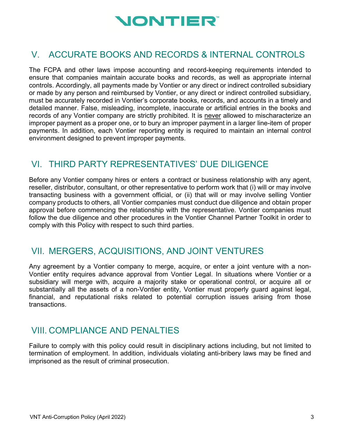

## V. ACCURATE BOOKS AND RECORDS & INTERNAL CONTROLS

The FCPA and other laws impose accounting and record-keeping requirements intended to ensure that companies maintain accurate books and records, as well as appropriate internal controls. Accordingly, all payments made by Vontier or any direct or indirect controlled subsidiary or made by any person and reimbursed by Vontier, or any direct or indirect controlled subsidiary, must be accurately recorded in Vontier's corporate books, records, and accounts in a timely and detailed manner. False, misleading, incomplete, inaccurate or artificial entries in the books and records of any Vontier company are strictly prohibited. It is never allowed to mischaracterize an improper payment as a proper one, or to bury an improper payment in a larger line-item of proper payments. In addition, each Vontier reporting entity is required to maintain an internal control environment designed to prevent improper payments.

## VI. THIRD PARTY REPRESENTATIVES' DUE DILIGENCE

Before any Vontier company hires or enters a contract or business relationship with any agent, reseller, distributor, consultant, or other representative to perform work that (i) will or may involve transacting business with a government official, or (ii) that will or may involve selling Vontier company products to others, all Vontier companies must conduct due diligence and obtain proper approval before commencing the relationship with the representative. Vontier companies must follow the due diligence and other procedures in the Vontier Channel Partner Toolkit in order to comply with this Policy with respect to such third parties.

#### VII. MERGERS, ACQUISITIONS, AND JOINT VENTURES

Any agreement by a Vontier company to merge, acquire, or enter a joint venture with a non-Vontier entity requires advance approval from Vontier Legal. In situations where Vontier or a subsidiary will merge with, acquire a majority stake or operational control, or acquire all or substantially all the assets of a non-Vontier entity, Vontier must properly guard against legal, financial, and reputational risks related to potential corruption issues arising from those transactions.

## VIII. COMPLIANCE AND PENALTIES

Failure to comply with this policy could result in disciplinary actions including, but not limited to termination of employment. In addition, individuals violating anti-bribery laws may be fined and imprisoned as the result of criminal prosecution.